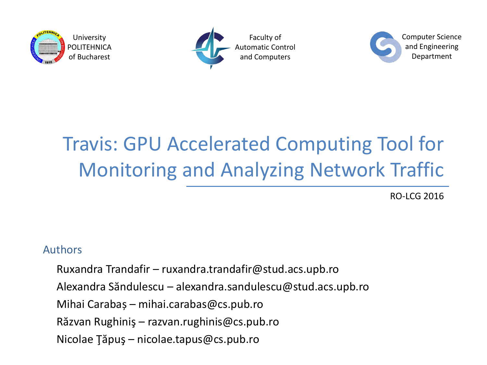



Faculty of Automatic Control and Computers



## Travis: GPU Accelerated Computing Tool for Monitoring and Analyzing Network Traffic

RO-LCG 2016

#### Authors

Ruxandra Trandafir – ruxandra.trandafir@stud.acs.upb.ro

Alexandra Săndulescu – alexandra.sandulescu@stud.acs.upb.ro

Mihai Carabaș – mihai.carabas@cs.pub.ro

Răzvan Rughiniş – razvan.rughinis@cs.pub.ro

Nicolae Ţăpuş – nicolae.tapus@cs.pub.ro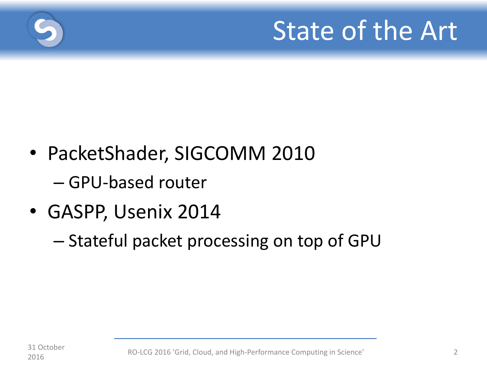

- PacketShader, SIGCOMM 2010 – GPU-based router
- GASPP, Usenix 2014
	- Stateful packet processing on top of GPU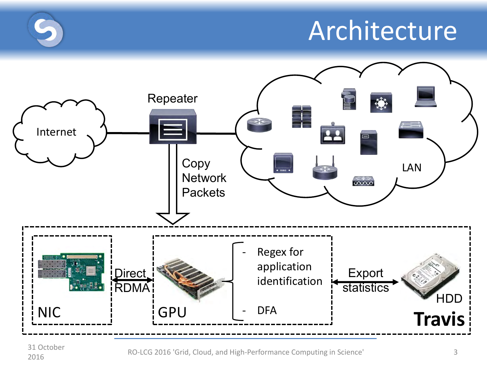# **Architecture**



31 October

<sup>2016</sup> <sup>3</sup> RO-LCG 2016 'Grid, Cloud, and High-Performance Computing in Science'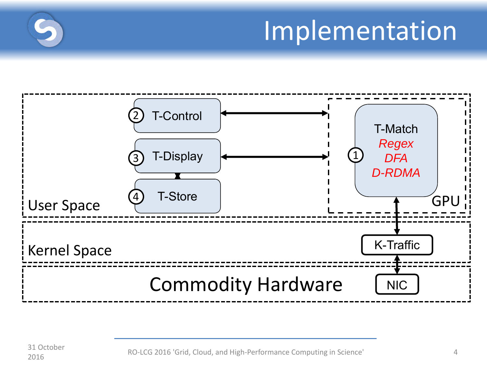# Implementation

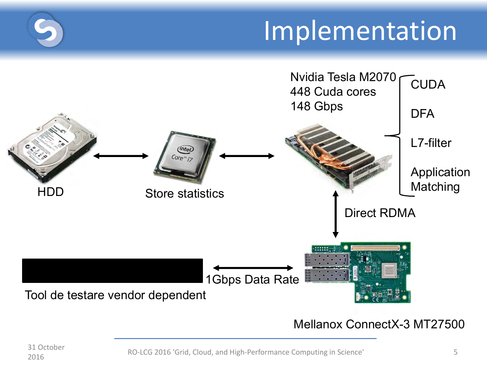# Implementation



### Mellanox ConnectX-3 MT27500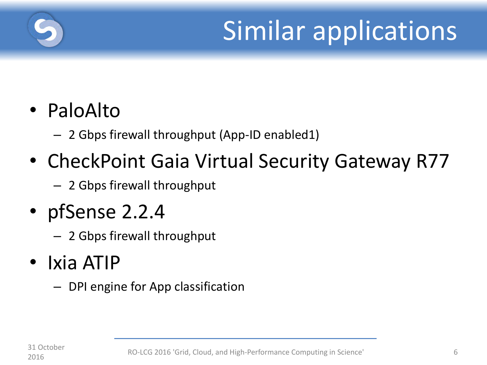

# Similar applications

### • PaloAlto

- 2 Gbps firewall throughput (App-ID enabled1)
- CheckPoint Gaia Virtual Security Gateway R77
	- 2 Gbps firewall throughput
- pfSense 2.2.4
	- 2 Gbps firewall throughput
- Ixia ATIP
	- DPI engine for App classification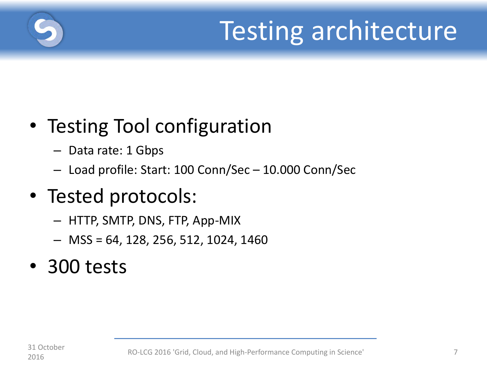

# Testing architecture

### • Testing Tool configuration

- Data rate: 1 Gbps
- Load profile: Start: 100 Conn/Sec 10.000 Conn/Sec

### • Tested protocols:

- HTTP, SMTP, DNS, FTP, App-MIX
- MSS = 64, 128, 256, 512, 1024, 1460

### • 300 tests